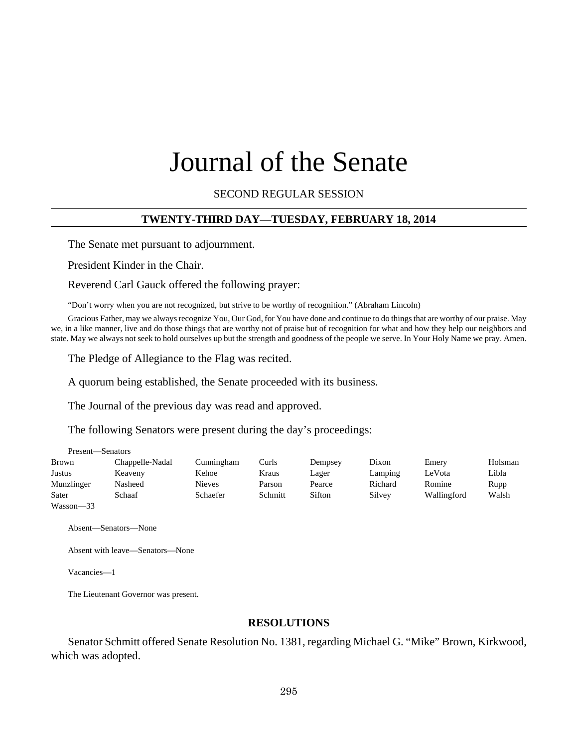# Journal of the Senate

SECOND REGULAR SESSION

#### **TWENTY-THIRD DAY—TUESDAY, FEBRUARY 18, 2014**

The Senate met pursuant to adjournment.

President Kinder in the Chair.

Reverend Carl Gauck offered the following prayer:

"Don't worry when you are not recognized, but strive to be worthy of recognition." (Abraham Lincoln)

Gracious Father, may we always recognize You, Our God, for You have done and continue to do things that are worthy of our praise. May we, in a like manner, live and do those things that are worthy not of praise but of recognition for what and how they help our neighbors and state. May we always not seek to hold ourselves up but the strength and goodness of the people we serve. In Your Holy Name we pray. Amen.

The Pledge of Allegiance to the Flag was recited.

A quorum being established, the Senate proceeded with its business.

The Journal of the previous day was read and approved.

The following Senators were present during the day's proceedings:

| Present—Senators |                 |               |         |         |         |             |         |
|------------------|-----------------|---------------|---------|---------|---------|-------------|---------|
| Brown            | Chappelle-Nadal | Cunningham    | Curls   | Dempsey | Dixon   | Emery       | Holsman |
| Justus           | Keaveny         | Kehoe         | Kraus   | Lager   | Lamping | LeVota      | Libla   |
| Munzlinger       | Nasheed         | <b>Nieves</b> | Parson  | Pearce  | Richard | Romine      | Rupp    |
| Sater            | Schaaf          | Schaefer      | Schmitt | Sifton  | Silvey  | Wallingford | Walsh   |
| $Wasson - 33$    |                 |               |         |         |         |             |         |

Absent—Senators—None

Absent with leave—Senators—None

Vacancies—1

The Lieutenant Governor was present.

#### **RESOLUTIONS**

Senator Schmitt offered Senate Resolution No. 1381, regarding Michael G. "Mike" Brown, Kirkwood, which was adopted.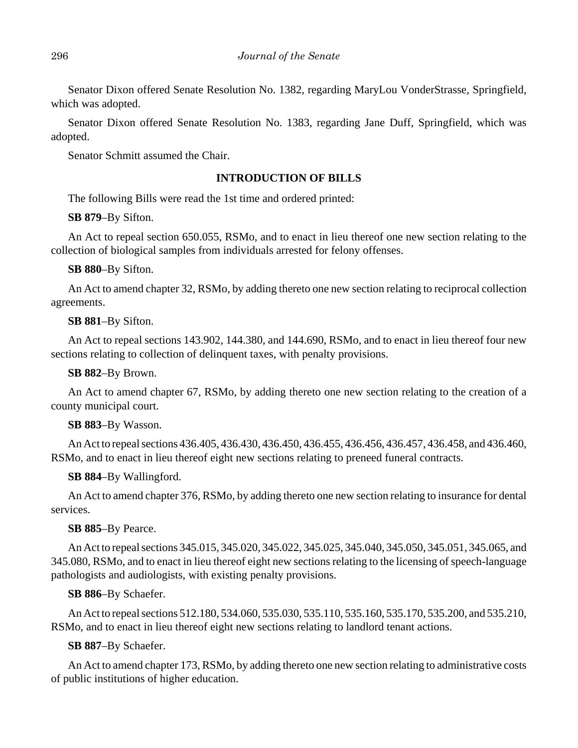Senator Dixon offered Senate Resolution No. 1382, regarding MaryLou VonderStrasse, Springfield, which was adopted.

Senator Dixon offered Senate Resolution No. 1383, regarding Jane Duff, Springfield, which was adopted.

Senator Schmitt assumed the Chair.

# **INTRODUCTION OF BILLS**

The following Bills were read the 1st time and ordered printed:

# **SB 879**–By Sifton.

An Act to repeal section 650.055, RSMo, and to enact in lieu thereof one new section relating to the collection of biological samples from individuals arrested for felony offenses.

# **SB 880**–By Sifton.

An Act to amend chapter 32, RSMo, by adding thereto one new section relating to reciprocal collection agreements.

# **SB 881**–By Sifton.

An Act to repeal sections 143.902, 144.380, and 144.690, RSMo, and to enact in lieu thereof four new sections relating to collection of delinquent taxes, with penalty provisions.

# **SB 882**–By Brown.

An Act to amend chapter 67, RSMo, by adding thereto one new section relating to the creation of a county municipal court.

# **SB 883**–By Wasson.

An Act to repeal sections 436.405, 436.430, 436.450, 436.455, 436.456, 436.457, 436.458, and 436.460, RSMo, and to enact in lieu thereof eight new sections relating to preneed funeral contracts.

# **SB 884**–By Wallingford.

An Act to amend chapter 376, RSMo, by adding thereto one new section relating to insurance for dental services.

# **SB 885**–By Pearce.

An Act to repeal sections 345.015, 345.020, 345.022, 345.025, 345.040, 345.050, 345.051, 345.065, and 345.080, RSMo, and to enact in lieu thereof eight new sections relating to the licensing of speech-language pathologists and audiologists, with existing penalty provisions.

# **SB 886**–By Schaefer.

An Act to repeal sections 512.180, 534.060, 535.030, 535.110, 535.160, 535.170, 535.200, and 535.210, RSMo, and to enact in lieu thereof eight new sections relating to landlord tenant actions.

# **SB 887**–By Schaefer.

An Act to amend chapter 173, RSMo, by adding thereto one new section relating to administrative costs of public institutions of higher education.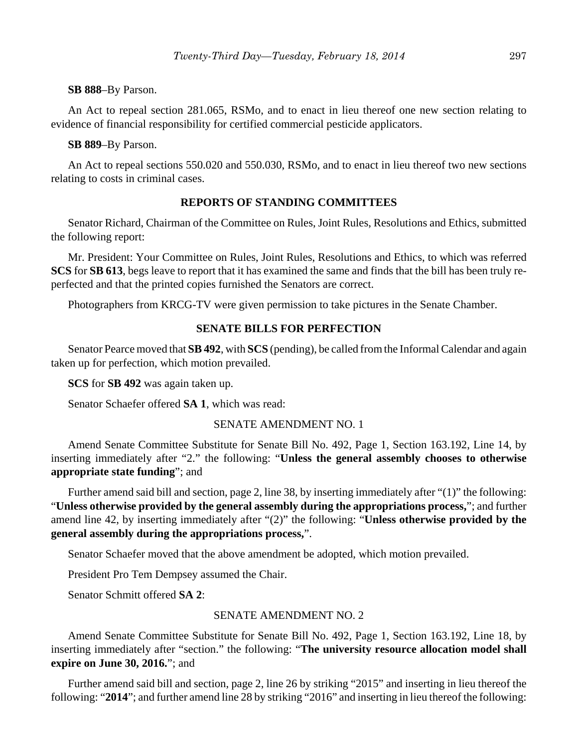#### **SB 888**–By Parson.

An Act to repeal section 281.065, RSMo, and to enact in lieu thereof one new section relating to evidence of financial responsibility for certified commercial pesticide applicators.

#### **SB 889**–By Parson.

An Act to repeal sections 550.020 and 550.030, RSMo, and to enact in lieu thereof two new sections relating to costs in criminal cases.

## **REPORTS OF STANDING COMMITTEES**

Senator Richard, Chairman of the Committee on Rules, Joint Rules, Resolutions and Ethics, submitted the following report:

Mr. President: Your Committee on Rules, Joint Rules, Resolutions and Ethics, to which was referred **SCS** for **SB 613**, begs leave to report that it has examined the same and finds that the bill has been truly reperfected and that the printed copies furnished the Senators are correct.

Photographers from KRCG-TV were given permission to take pictures in the Senate Chamber.

## **SENATE BILLS FOR PERFECTION**

Senator Pearce moved that **SB 492**, with **SCS** (pending), be called from the Informal Calendar and again taken up for perfection, which motion prevailed.

**SCS** for **SB 492** was again taken up.

Senator Schaefer offered **SA 1**, which was read:

#### SENATE AMENDMENT NO. 1

Amend Senate Committee Substitute for Senate Bill No. 492, Page 1, Section 163.192, Line 14, by inserting immediately after "2." the following: "**Unless the general assembly chooses to otherwise appropriate state funding**"; and

Further amend said bill and section, page 2, line 38, by inserting immediately after "(1)" the following: "**Unless otherwise provided by the general assembly during the appropriations process,**"; and further amend line 42, by inserting immediately after "(2)" the following: "**Unless otherwise provided by the general assembly during the appropriations process,**".

Senator Schaefer moved that the above amendment be adopted, which motion prevailed.

President Pro Tem Dempsey assumed the Chair.

Senator Schmitt offered **SA 2**:

#### SENATE AMENDMENT NO. 2

Amend Senate Committee Substitute for Senate Bill No. 492, Page 1, Section 163.192, Line 18, by inserting immediately after "section." the following: "**The university resource allocation model shall expire on June 30, 2016.**"; and

Further amend said bill and section, page 2, line 26 by striking "2015" and inserting in lieu thereof the following: "**2014**"; and further amend line 28 by striking "2016" and inserting in lieu thereof the following: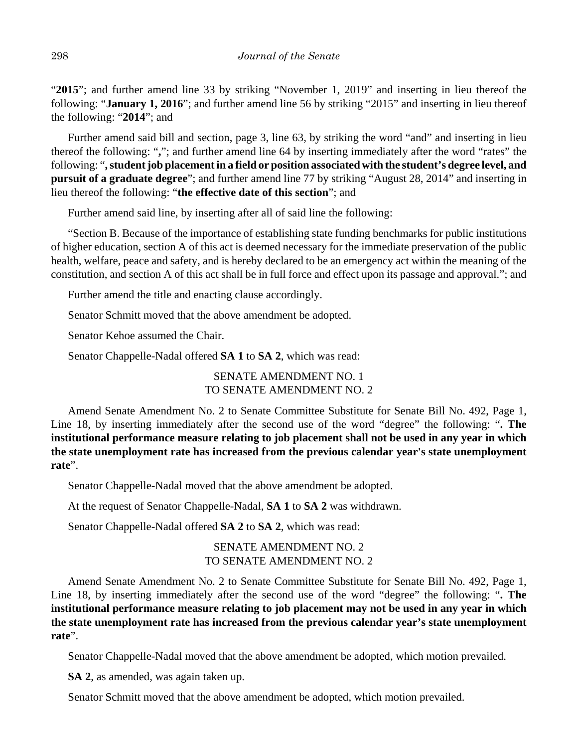"**2015**"; and further amend line 33 by striking "November 1, 2019" and inserting in lieu thereof the following: "**January 1, 2016**"; and further amend line 56 by striking "2015" and inserting in lieu thereof the following: "**2014**"; and

Further amend said bill and section, page 3, line 63, by striking the word "and" and inserting in lieu thereof the following: "**,**"; and further amend line 64 by inserting immediately after the word "rates" the following: "**, student job placement in a field or position associated with the student's degree level, and pursuit of a graduate degree**"; and further amend line 77 by striking "August 28, 2014" and inserting in lieu thereof the following: "**the effective date of this section**"; and

Further amend said line, by inserting after all of said line the following:

"Section B. Because of the importance of establishing state funding benchmarks for public institutions of higher education, section A of this act is deemed necessary for the immediate preservation of the public health, welfare, peace and safety, and is hereby declared to be an emergency act within the meaning of the constitution, and section A of this act shall be in full force and effect upon its passage and approval."; and

Further amend the title and enacting clause accordingly.

Senator Schmitt moved that the above amendment be adopted.

Senator Kehoe assumed the Chair.

Senator Chappelle-Nadal offered **SA 1** to **SA 2**, which was read:

SENATE AMENDMENT NO. 1 TO SENATE AMENDMENT NO. 2

Amend Senate Amendment No. 2 to Senate Committee Substitute for Senate Bill No. 492, Page 1, Line 18, by inserting immediately after the second use of the word "degree" the following: "**. The institutional performance measure relating to job placement shall not be used in any year in which the state unemployment rate has increased from the previous calendar year's state unemployment rate**".

Senator Chappelle-Nadal moved that the above amendment be adopted.

At the request of Senator Chappelle-Nadal, **SA 1** to **SA 2** was withdrawn.

Senator Chappelle-Nadal offered **SA 2** to **SA 2**, which was read:

SENATE AMENDMENT NO. 2 TO SENATE AMENDMENT NO. 2

Amend Senate Amendment No. 2 to Senate Committee Substitute for Senate Bill No. 492, Page 1, Line 18, by inserting immediately after the second use of the word "degree" the following: "**. The institutional performance measure relating to job placement may not be used in any year in which the state unemployment rate has increased from the previous calendar year's state unemployment rate**".

Senator Chappelle-Nadal moved that the above amendment be adopted, which motion prevailed.

**SA 2**, as amended, was again taken up.

Senator Schmitt moved that the above amendment be adopted, which motion prevailed.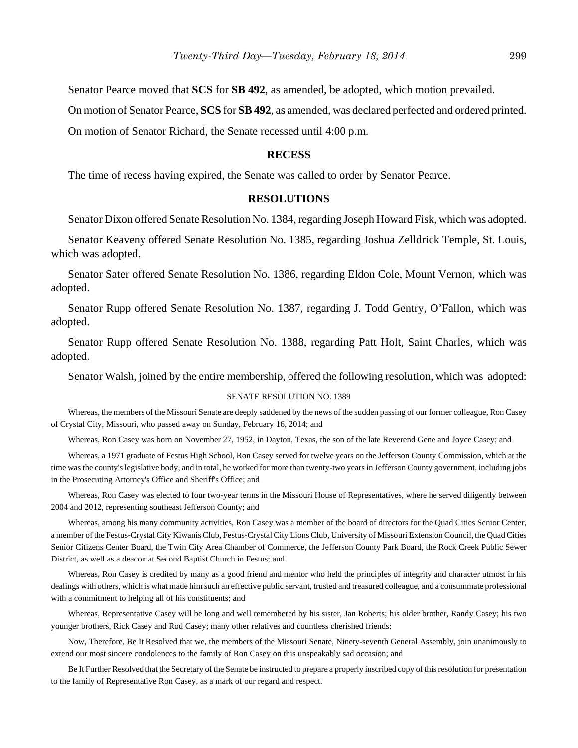Senator Pearce moved that **SCS** for **SB 492**, as amended, be adopted, which motion prevailed.

On motion of Senator Pearce, **SCS** for **SB 492**, as amended, was declared perfected and ordered printed.

On motion of Senator Richard, the Senate recessed until 4:00 p.m.

#### **RECESS**

The time of recess having expired, the Senate was called to order by Senator Pearce.

#### **RESOLUTIONS**

Senator Dixon offered Senate Resolution No. 1384, regarding Joseph Howard Fisk, which was adopted.

Senator Keaveny offered Senate Resolution No. 1385, regarding Joshua Zelldrick Temple, St. Louis, which was adopted.

Senator Sater offered Senate Resolution No. 1386, regarding Eldon Cole, Mount Vernon, which was adopted.

Senator Rupp offered Senate Resolution No. 1387, regarding J. Todd Gentry, O'Fallon, which was adopted.

Senator Rupp offered Senate Resolution No. 1388, regarding Patt Holt, Saint Charles, which was adopted.

Senator Walsh, joined by the entire membership, offered the following resolution, which was adopted:

#### SENATE RESOLUTION NO. 1389

Whereas, the members of the Missouri Senate are deeply saddened by the news of the sudden passing of our former colleague, Ron Casey of Crystal City, Missouri, who passed away on Sunday, February 16, 2014; and

Whereas, Ron Casey was born on November 27, 1952, in Dayton, Texas, the son of the late Reverend Gene and Joyce Casey; and

Whereas, a 1971 graduate of Festus High School, Ron Casey served for twelve years on the Jefferson County Commission, which at the time was the county's legislative body, and in total, he worked for more than twenty-two years in Jefferson County government, including jobs in the Prosecuting Attorney's Office and Sheriff's Office; and

Whereas, Ron Casey was elected to four two-year terms in the Missouri House of Representatives, where he served diligently between 2004 and 2012, representing southeast Jefferson County; and

Whereas, among his many community activities, Ron Casey was a member of the board of directors for the Quad Cities Senior Center, a member of the Festus-Crystal City Kiwanis Club, Festus-Crystal City Lions Club, University of Missouri Extension Council, the Quad Cities Senior Citizens Center Board, the Twin City Area Chamber of Commerce, the Jefferson County Park Board, the Rock Creek Public Sewer District, as well as a deacon at Second Baptist Church in Festus; and

Whereas, Ron Casey is credited by many as a good friend and mentor who held the principles of integrity and character utmost in his dealings with others, which is what made him such an effective public servant, trusted and treasured colleague, and a consummate professional with a commitment to helping all of his constituents; and

Whereas, Representative Casey will be long and well remembered by his sister, Jan Roberts; his older brother, Randy Casey; his two younger brothers, Rick Casey and Rod Casey; many other relatives and countless cherished friends:

Now, Therefore, Be It Resolved that we, the members of the Missouri Senate, Ninety-seventh General Assembly, join unanimously to extend our most sincere condolences to the family of Ron Casey on this unspeakably sad occasion; and

Be It Further Resolved that the Secretary of the Senate be instructed to prepare a properly inscribed copy of this resolution for presentation to the family of Representative Ron Casey, as a mark of our regard and respect.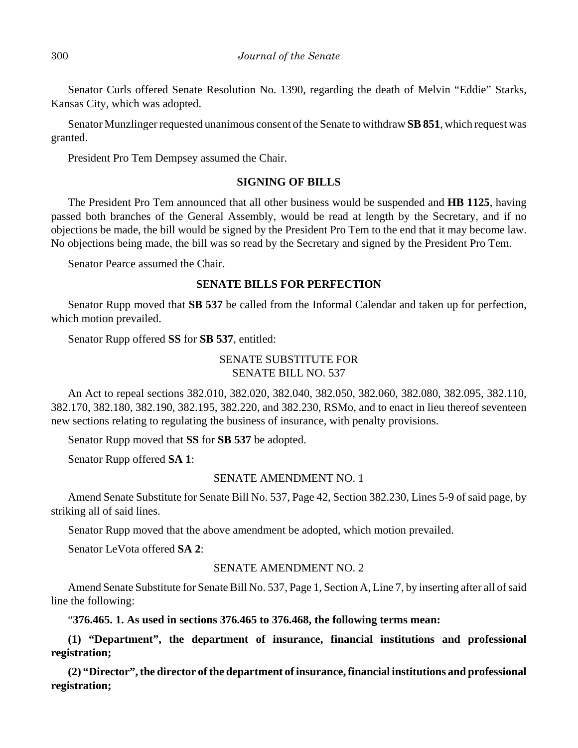Senator Curls offered Senate Resolution No. 1390, regarding the death of Melvin "Eddie" Starks, Kansas City, which was adopted.

Senator Munzlinger requested unanimous consent of the Senate to withdraw **SB 851**, which request was granted.

President Pro Tem Dempsey assumed the Chair.

## **SIGNING OF BILLS**

The President Pro Tem announced that all other business would be suspended and **HB 1125**, having passed both branches of the General Assembly, would be read at length by the Secretary, and if no objections be made, the bill would be signed by the President Pro Tem to the end that it may become law. No objections being made, the bill was so read by the Secretary and signed by the President Pro Tem.

Senator Pearce assumed the Chair.

#### **SENATE BILLS FOR PERFECTION**

Senator Rupp moved that **SB 537** be called from the Informal Calendar and taken up for perfection, which motion prevailed.

Senator Rupp offered **SS** for **SB 537**, entitled:

## SENATE SUBSTITUTE FOR SENATE BILL NO. 537

An Act to repeal sections 382.010, 382.020, 382.040, 382.050, 382.060, 382.080, 382.095, 382.110, 382.170, 382.180, 382.190, 382.195, 382.220, and 382.230, RSMo, and to enact in lieu thereof seventeen new sections relating to regulating the business of insurance, with penalty provisions.

Senator Rupp moved that **SS** for **SB 537** be adopted.

Senator Rupp offered **SA 1**:

#### SENATE AMENDMENT NO. 1

Amend Senate Substitute for Senate Bill No. 537, Page 42, Section 382.230, Lines 5-9 of said page, by striking all of said lines.

Senator Rupp moved that the above amendment be adopted, which motion prevailed.

Senator LeVota offered **SA 2**:

## SENATE AMENDMENT NO. 2

Amend Senate Substitute for Senate Bill No. 537, Page 1, Section A, Line 7, by inserting after all of said line the following:

"**376.465. 1. As used in sections 376.465 to 376.468, the following terms mean:**

**(1) "Department", the department of insurance, financial institutions and professional registration;**

**(2) "Director", the director of the department of insurance, financial institutions and professional registration;**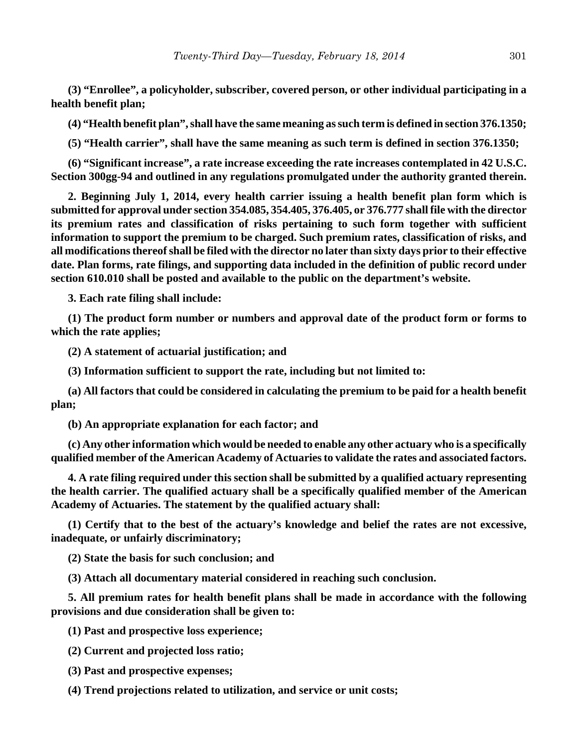**(3) "Enrollee", a policyholder, subscriber, covered person, or other individual participating in a health benefit plan;**

**(4) "Health benefit plan", shall have the same meaning as such term is defined in section 376.1350;**

**(5) "Health carrier", shall have the same meaning as such term is defined in section 376.1350;**

**(6) "Significant increase", a rate increase exceeding the rate increases contemplated in 42 U.S.C. Section 300gg-94 and outlined in any regulations promulgated under the authority granted therein.**

**2. Beginning July 1, 2014, every health carrier issuing a health benefit plan form which is submitted for approval under section 354.085, 354.405, 376.405, or 376.777 shall file with the director its premium rates and classification of risks pertaining to such form together with sufficient information to support the premium to be charged. Such premium rates, classification of risks, and all modifications thereof shall be filed with the director no later than sixty days prior to their effective date. Plan forms, rate filings, and supporting data included in the definition of public record under section 610.010 shall be posted and available to the public on the department's website.**

**3. Each rate filing shall include:**

**(1) The product form number or numbers and approval date of the product form or forms to which the rate applies;**

**(2) A statement of actuarial justification; and**

**(3) Information sufficient to support the rate, including but not limited to:**

**(a) All factors that could be considered in calculating the premium to be paid for a health benefit plan;**

**(b) An appropriate explanation for each factor; and**

**(c) Any other information which would be needed to enable any other actuary who is a specifically qualified member of the American Academy of Actuaries to validate the rates and associated factors.**

**4. A rate filing required under this section shall be submitted by a qualified actuary representing the health carrier. The qualified actuary shall be a specifically qualified member of the American Academy of Actuaries. The statement by the qualified actuary shall:**

**(1) Certify that to the best of the actuary's knowledge and belief the rates are not excessive, inadequate, or unfairly discriminatory;**

**(2) State the basis for such conclusion; and**

**(3) Attach all documentary material considered in reaching such conclusion.**

**5. All premium rates for health benefit plans shall be made in accordance with the following provisions and due consideration shall be given to:**

**(1) Past and prospective loss experience;**

**(2) Current and projected loss ratio;**

**(3) Past and prospective expenses;**

**(4) Trend projections related to utilization, and service or unit costs;**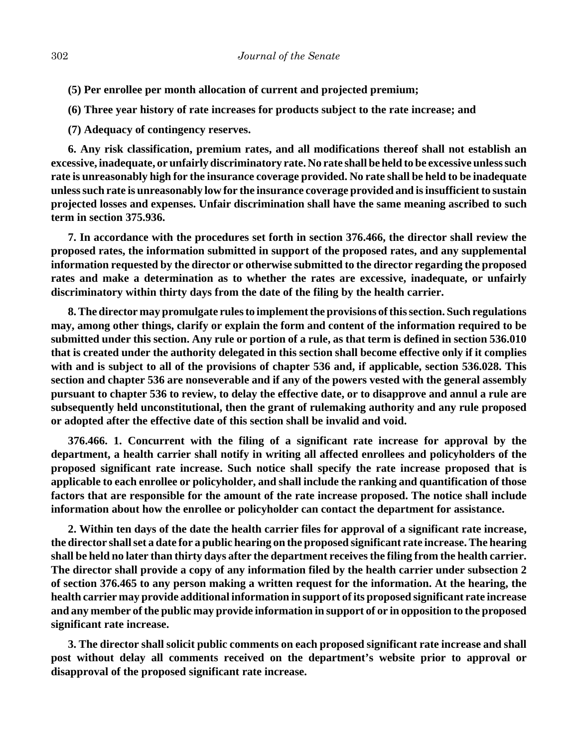- **(5) Per enrollee per month allocation of current and projected premium;**
- **(6) Three year history of rate increases for products subject to the rate increase; and**
- **(7) Adequacy of contingency reserves.**

**6. Any risk classification, premium rates, and all modifications thereof shall not establish an excessive, inadequate, or unfairly discriminatory rate. No rate shall be held to be excessive unless such rate is unreasonably high for the insurance coverage provided. No rate shall be held to be inadequate unless such rate is unreasonably low for the insurance coverage provided and is insufficient to sustain projected losses and expenses. Unfair discrimination shall have the same meaning ascribed to such term in section 375.936.**

**7. In accordance with the procedures set forth in section 376.466, the director shall review the proposed rates, the information submitted in support of the proposed rates, and any supplemental information requested by the director or otherwise submitted to the director regarding the proposed rates and make a determination as to whether the rates are excessive, inadequate, or unfairly discriminatory within thirty days from the date of the filing by the health carrier.**

**8. The director may promulgate rules to implement the provisions of this section. Such regulations may, among other things, clarify or explain the form and content of the information required to be submitted under this section. Any rule or portion of a rule, as that term is defined in section 536.010 that is created under the authority delegated in this section shall become effective only if it complies with and is subject to all of the provisions of chapter 536 and, if applicable, section 536.028. This section and chapter 536 are nonseverable and if any of the powers vested with the general assembly pursuant to chapter 536 to review, to delay the effective date, or to disapprove and annul a rule are subsequently held unconstitutional, then the grant of rulemaking authority and any rule proposed or adopted after the effective date of this section shall be invalid and void.**

**376.466. 1. Concurrent with the filing of a significant rate increase for approval by the department, a health carrier shall notify in writing all affected enrollees and policyholders of the proposed significant rate increase. Such notice shall specify the rate increase proposed that is applicable to each enrollee or policyholder, and shall include the ranking and quantification of those factors that are responsible for the amount of the rate increase proposed. The notice shall include information about how the enrollee or policyholder can contact the department for assistance.**

**2. Within ten days of the date the health carrier files for approval of a significant rate increase, the director shall set a date for a public hearing on the proposed significant rate increase. The hearing shall be held no later than thirty days after the department receives the filing from the health carrier. The director shall provide a copy of any information filed by the health carrier under subsection 2 of section 376.465 to any person making a written request for the information. At the hearing, the health carrier may provide additional information in support of its proposed significant rate increase and any member of the public may provide information in support of or in opposition to the proposed significant rate increase.**

**3. The director shall solicit public comments on each proposed significant rate increase and shall post without delay all comments received on the department's website prior to approval or disapproval of the proposed significant rate increase.**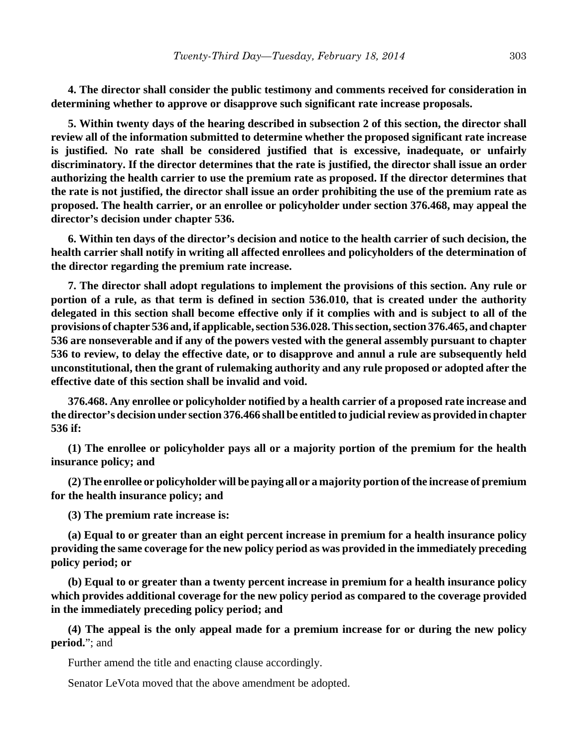**4. The director shall consider the public testimony and comments received for consideration in determining whether to approve or disapprove such significant rate increase proposals.**

**5. Within twenty days of the hearing described in subsection 2 of this section, the director shall review all of the information submitted to determine whether the proposed significant rate increase is justified. No rate shall be considered justified that is excessive, inadequate, or unfairly discriminatory. If the director determines that the rate is justified, the director shall issue an order authorizing the health carrier to use the premium rate as proposed. If the director determines that the rate is not justified, the director shall issue an order prohibiting the use of the premium rate as proposed. The health carrier, or an enrollee or policyholder under section 376.468, may appeal the director's decision under chapter 536.**

**6. Within ten days of the director's decision and notice to the health carrier of such decision, the health carrier shall notify in writing all affected enrollees and policyholders of the determination of the director regarding the premium rate increase.**

**7. The director shall adopt regulations to implement the provisions of this section. Any rule or portion of a rule, as that term is defined in section 536.010, that is created under the authority delegated in this section shall become effective only if it complies with and is subject to all of the provisions of chapter 536 and, if applicable, section 536.028. This section, section 376.465, and chapter 536 are nonseverable and if any of the powers vested with the general assembly pursuant to chapter 536 to review, to delay the effective date, or to disapprove and annul a rule are subsequently held unconstitutional, then the grant of rulemaking authority and any rule proposed or adopted after the effective date of this section shall be invalid and void.**

**376.468. Any enrollee or policyholder notified by a health carrier of a proposed rate increase and the director's decision under section 376.466 shall be entitled to judicial review as provided in chapter 536 if:**

**(1) The enrollee or policyholder pays all or a majority portion of the premium for the health insurance policy; and**

**(2) The enrollee or policyholder will be paying all or a majority portion of the increase of premium for the health insurance policy; and**

**(3) The premium rate increase is:**

**(a) Equal to or greater than an eight percent increase in premium for a health insurance policy providing the same coverage for the new policy period as was provided in the immediately preceding policy period; or**

**(b) Equal to or greater than a twenty percent increase in premium for a health insurance policy which provides additional coverage for the new policy period as compared to the coverage provided in the immediately preceding policy period; and**

**(4) The appeal is the only appeal made for a premium increase for or during the new policy period.**"; and

Further amend the title and enacting clause accordingly.

Senator LeVota moved that the above amendment be adopted.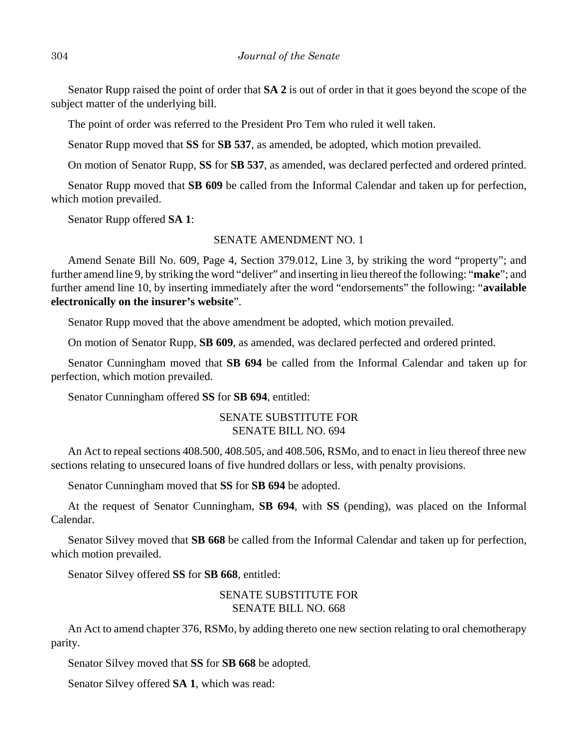Senator Rupp raised the point of order that **SA 2** is out of order in that it goes beyond the scope of the subject matter of the underlying bill.

The point of order was referred to the President Pro Tem who ruled it well taken.

Senator Rupp moved that **SS** for **SB 537**, as amended, be adopted, which motion prevailed.

On motion of Senator Rupp, **SS** for **SB 537**, as amended, was declared perfected and ordered printed.

Senator Rupp moved that **SB 609** be called from the Informal Calendar and taken up for perfection, which motion prevailed.

Senator Rupp offered **SA 1**:

#### SENATE AMENDMENT NO. 1

Amend Senate Bill No. 609, Page 4, Section 379.012, Line 3, by striking the word "property"; and further amend line 9, by striking the word "deliver" and inserting in lieu thereof the following: "**make**"; and further amend line 10, by inserting immediately after the word "endorsements" the following: "**available electronically on the insurer's website**".

Senator Rupp moved that the above amendment be adopted, which motion prevailed.

On motion of Senator Rupp, **SB 609**, as amended, was declared perfected and ordered printed.

Senator Cunningham moved that **SB 694** be called from the Informal Calendar and taken up for perfection, which motion prevailed.

Senator Cunningham offered **SS** for **SB 694**, entitled:

## SENATE SUBSTITUTE FOR SENATE BILL NO. 694

An Act to repeal sections 408.500, 408.505, and 408.506, RSMo, and to enact in lieu thereof three new sections relating to unsecured loans of five hundred dollars or less, with penalty provisions.

Senator Cunningham moved that **SS** for **SB 694** be adopted.

At the request of Senator Cunningham, **SB 694**, with **SS** (pending), was placed on the Informal Calendar.

Senator Silvey moved that **SB 668** be called from the Informal Calendar and taken up for perfection, which motion prevailed.

Senator Silvey offered **SS** for **SB 668**, entitled:

# SENATE SUBSTITUTE FOR SENATE BILL NO. 668

An Act to amend chapter 376, RSMo, by adding thereto one new section relating to oral chemotherapy parity.

Senator Silvey moved that **SS** for **SB 668** be adopted.

Senator Silvey offered **SA 1**, which was read: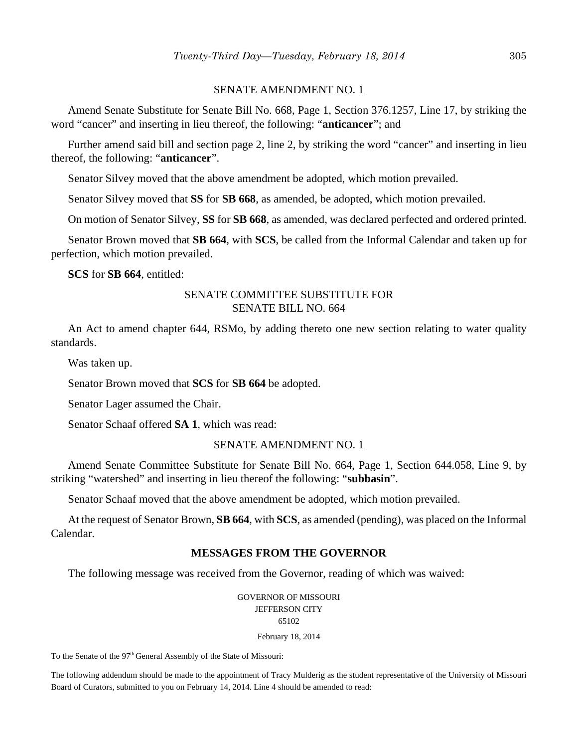## SENATE AMENDMENT NO. 1

Amend Senate Substitute for Senate Bill No. 668, Page 1, Section 376.1257, Line 17, by striking the word "cancer" and inserting in lieu thereof, the following: "**anticancer**"; and

Further amend said bill and section page 2, line 2, by striking the word "cancer" and inserting in lieu thereof, the following: "**anticancer**".

Senator Silvey moved that the above amendment be adopted, which motion prevailed.

Senator Silvey moved that **SS** for **SB 668**, as amended, be adopted, which motion prevailed.

On motion of Senator Silvey, **SS** for **SB 668**, as amended, was declared perfected and ordered printed.

Senator Brown moved that **SB 664**, with **SCS**, be called from the Informal Calendar and taken up for perfection, which motion prevailed.

**SCS** for **SB 664**, entitled:

## SENATE COMMITTEE SUBSTITUTE FOR SENATE BILL NO. 664

An Act to amend chapter 644, RSMo, by adding thereto one new section relating to water quality standards.

Was taken up.

Senator Brown moved that **SCS** for **SB 664** be adopted.

Senator Lager assumed the Chair.

Senator Schaaf offered **SA 1**, which was read:

#### SENATE AMENDMENT NO. 1

Amend Senate Committee Substitute for Senate Bill No. 664, Page 1, Section 644.058, Line 9, by striking "watershed" and inserting in lieu thereof the following: "**subbasin**".

Senator Schaaf moved that the above amendment be adopted, which motion prevailed.

At the request of Senator Brown, **SB 664**, with **SCS**, as amended (pending), was placed on the Informal Calendar.

# **MESSAGES FROM THE GOVERNOR**

The following message was received from the Governor, reading of which was waived:

GOVERNOR OF MISSOURI JEFFERSON CITY 65102

February 18, 2014

To the Senate of the 97<sup>th</sup> General Assembly of the State of Missouri:

The following addendum should be made to the appointment of Tracy Mulderig as the student representative of the University of Missouri Board of Curators, submitted to you on February 14, 2014. Line 4 should be amended to read: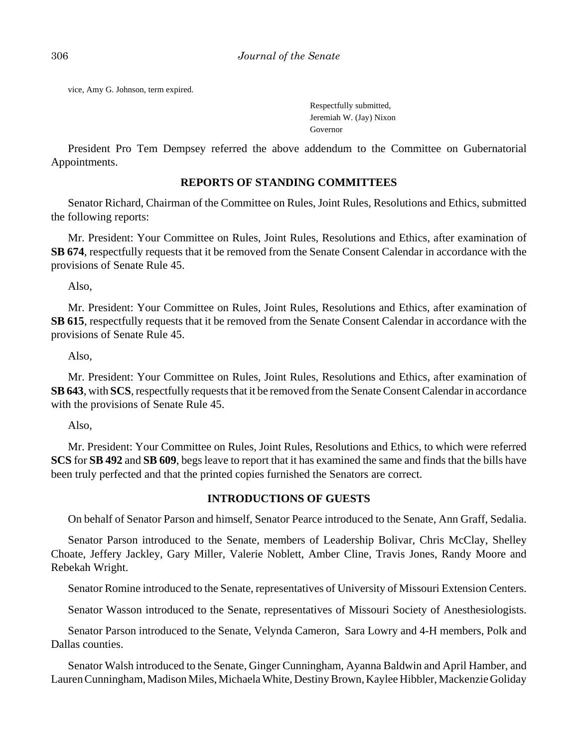vice, Amy G. Johnson, term expired.

Respectfully submitted, Jeremiah W. (Jay) Nixon Governor

President Pro Tem Dempsey referred the above addendum to the Committee on Gubernatorial Appointments.

## **REPORTS OF STANDING COMMITTEES**

Senator Richard, Chairman of the Committee on Rules, Joint Rules, Resolutions and Ethics, submitted the following reports:

Mr. President: Your Committee on Rules, Joint Rules, Resolutions and Ethics, after examination of **SB 674**, respectfully requests that it be removed from the Senate Consent Calendar in accordance with the provisions of Senate Rule 45.

Also,

Mr. President: Your Committee on Rules, Joint Rules, Resolutions and Ethics, after examination of **SB 615**, respectfully requests that it be removed from the Senate Consent Calendar in accordance with the provisions of Senate Rule 45.

Also,

Mr. President: Your Committee on Rules, Joint Rules, Resolutions and Ethics, after examination of **SB 643**, with **SCS**, respectfully requests that it be removed from the Senate Consent Calendar in accordance with the provisions of Senate Rule 45.

Also,

Mr. President: Your Committee on Rules, Joint Rules, Resolutions and Ethics, to which were referred **SCS** for **SB 492** and **SB 609**, begs leave to report that it has examined the same and finds that the bills have been truly perfected and that the printed copies furnished the Senators are correct.

## **INTRODUCTIONS OF GUESTS**

On behalf of Senator Parson and himself, Senator Pearce introduced to the Senate, Ann Graff, Sedalia.

Senator Parson introduced to the Senate, members of Leadership Bolivar, Chris McClay, Shelley Choate, Jeffery Jackley, Gary Miller, Valerie Noblett, Amber Cline, Travis Jones, Randy Moore and Rebekah Wright.

Senator Romine introduced to the Senate, representatives of University of Missouri Extension Centers.

Senator Wasson introduced to the Senate, representatives of Missouri Society of Anesthesiologists.

Senator Parson introduced to the Senate, Velynda Cameron, Sara Lowry and 4-H members, Polk and Dallas counties.

Senator Walsh introduced to the Senate, Ginger Cunningham, Ayanna Baldwin and April Hamber, and Lauren Cunningham, Madison Miles, Michaela White, Destiny Brown, Kaylee Hibbler, Mackenzie Goliday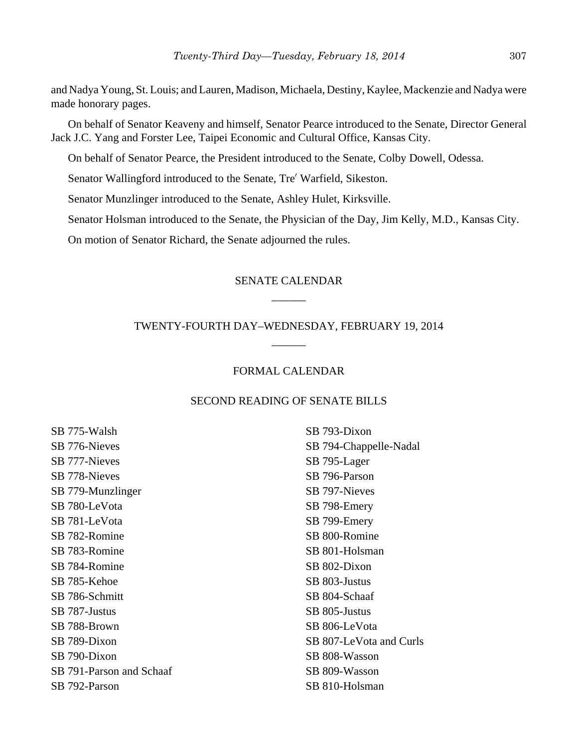and Nadya Young, St. Louis; and Lauren, Madison, Michaela, Destiny, Kaylee, Mackenzie and Nadya were made honorary pages.

On behalf of Senator Keaveny and himself, Senator Pearce introduced to the Senate, Director General Jack J.C. Yang and Forster Lee, Taipei Economic and Cultural Office, Kansas City.

On behalf of Senator Pearce, the President introduced to the Senate, Colby Dowell, Odessa.

Senator Wallingford introduced to the Senate, Tre' Warfield, Sikeston.

Senator Munzlinger introduced to the Senate, Ashley Hulet, Kirksville.

Senator Holsman introduced to the Senate, the Physician of the Day, Jim Kelly, M.D., Kansas City.

On motion of Senator Richard, the Senate adjourned the rules.

# SENATE CALENDAR \_\_\_\_\_\_

# TWENTY-FOURTH DAY–WEDNESDAY, FEBRUARY 19, 2014 \_\_\_\_\_\_

## FORMAL CALENDAR

## SECOND READING OF SENATE BILLS

SB 775-Walsh SB 776-Nieves SB 777-Nieves SB 778-Nieves SB 779-Munzlinger SB 780-LeVota SB 781-LeVota SB 782-Romine SB 783-Romine SB 784-Romine SB 785-Kehoe SB 786-Schmitt SB 787-Justus SB 788-Brown SB 789-Dixon SB 790-Dixon SB 791-Parson and Schaaf SB 792-Parson

SB 793-Dixon SB 794-Chappelle-Nadal SB 795-Lager SB 796-Parson SB 797-Nieves SB 798-Emery SB 799-Emery SB 800-Romine SB 801-Holsman SB 802-Dixon SB 803-Justus SB 804-Schaaf SB 805-Justus SB 806-LeVota SB 807-LeVota and Curls SB 808-Wasson SB 809-Wasson SB 810-Holsman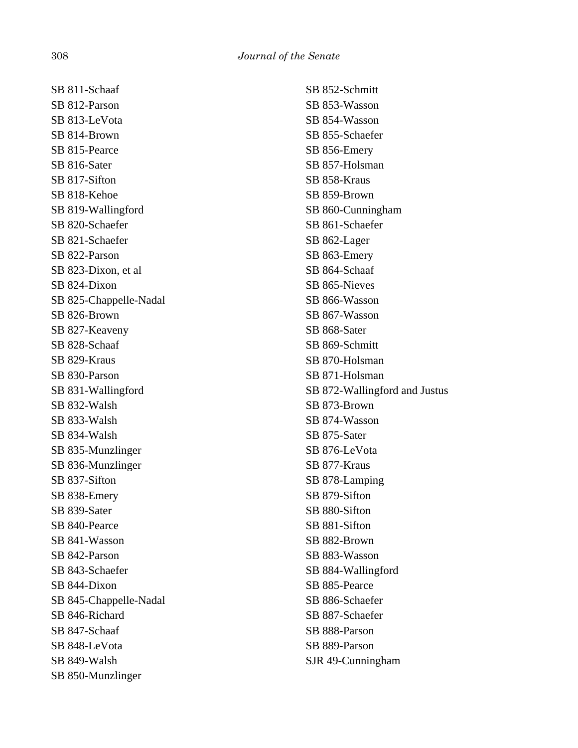SB 811-Schaaf SB 812-Parson SB 813-LeVota SB 814-Brown SB 815-Pearce SB 816-Sater SB 817-Sifton SB 818-Kehoe SB 819-Wallingford SB 820-Schaefer SB 821-Schaefer SB 822-Parson SB 823-Dixon, et al SB 824-Dixon SB 825-Chappelle-Nadal SB 826-Brown SB 827-Keaveny SB 828-Schaaf SB 829-Kraus SB 830-Parson SB 831-Wallingford SB 832-Walsh SB 833-Walsh SB 834-Walsh SB 835-Munzlinger SB 836-Munzlinger SB 837-Sifton SB 838-Emery SB 839-Sater SB 840-Pearce SB 841-Wasson SB 842-Parson SB 843-Schaefer SB 844-Dixon SB 845-Chappelle-Nadal SB 846-Richard SB 847-Schaaf SB 848-LeVota SB 849-Walsh SB 850-Munzlinger

SB 852-Schmitt SB 853-Wasson SB 854-Wasson SB 855-Schaefer SB 856-Emery SB 857-Holsman SB 858-Kraus SB 859-Brown SB 860-Cunningham SB 861-Schaefer SB 862-Lager SB 863-Emery SB 864-Schaaf SB 865-Nieves SB 866-Wasson SB 867-Wasson SB 868-Sater SB 869-Schmitt SB 870-Holsman SB 871-Holsman SB 872-Wallingford and Justus SB 873-Brown SB 874-Wasson SB 875-Sater SB 876-LeVota SB 877-Kraus SB 878-Lamping SB 879-Sifton SB 880-Sifton SB 881-Sifton SB 882-Brown SB 883-Wasson SB 884-Wallingford SB 885-Pearce SB 886-Schaefer SB 887-Schaefer SB 888-Parson SB 889-Parson SJR 49-Cunningham